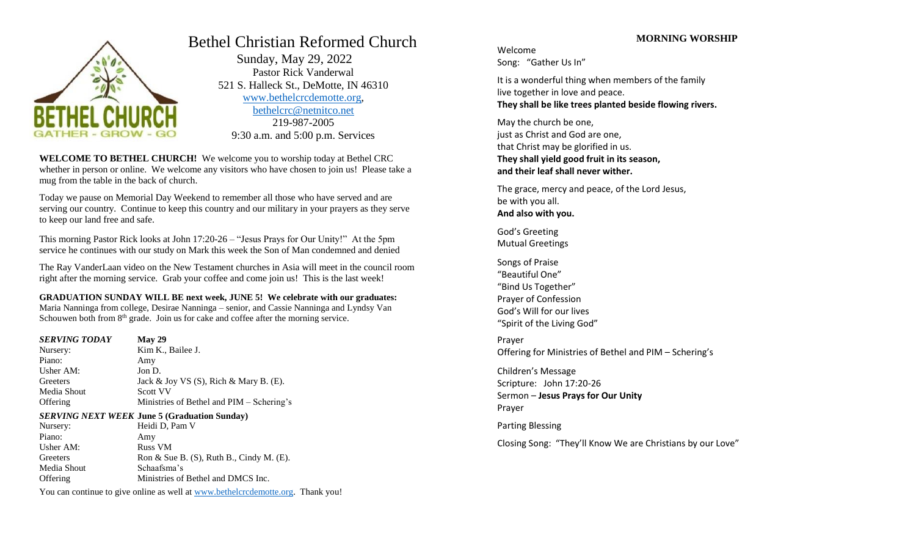

# Bethel Christian Reformed Church

 Sunday, May 29, 2022 Pastor Rick Vanderwal 521 S. Halleck St., DeMotte, IN 46310 [www.bethelcrcdemotte.org,](http://www.bethelcrcdemotte.org/) [bethelcrc@netnitco.net](mailto:bethelcrc@netnitco.net) 219-987-2005 9:30 a.m. and 5:00 p.m. Services

**WELCOME TO BETHEL CHURCH!** We welcome you to worship today at Bethel CRC whether in person or online. We welcome any visitors who have chosen to join us! Please take a mug from the table in the back of church.

Today we pause on Memorial Day Weekend to remember all those who have served and are serving our country. Continue to keep this country and our military in your prayers as they serve to keep our land free and safe.

This morning Pastor Rick looks at John 17:20-26 – "Jesus Prays for Our Unity!" At the 5pm service he continues with our study on Mark this week the Son of Man condemned and denied

The Ray VanderLaan video on the New Testament churches in Asia will meet in the council room right after the morning service. Grab your coffee and come join us! This is the last week!

**GRADUATION SUNDAY WILL BE next week, JUNE 5! We celebrate with our graduates:** 

Maria Nanninga from college, Desirae Nanninga – senior, and Cassie Nanninga and Lyndsy Van Schouwen both from  $8<sup>th</sup>$  grade. Join us for cake and coffee after the morning service.

| <b>SERVING TODAY</b> | May 29                                              |
|----------------------|-----------------------------------------------------|
| Nursery:             | Kim K., Bailee J.                                   |
| Piano:               | Amy                                                 |
| Usher AM:            | Jon D.                                              |
| Greeters             | Jack & Joy VS $(S)$ , Rich & Mary B. $(E)$ .        |
| Media Shout          | <b>Scott VV</b>                                     |
| Offering             | Ministries of Bethel and PIM – Schering's           |
|                      | <b>SERVING NEXT WEEK June 5 (Graduation Sunday)</b> |
| Nursery:             | Heidi D, Pam V                                      |
| Piano:               | Amy                                                 |
| <b>TT1</b> ABF       | <b>D TII</b>                                        |

Usher AM: Russ VM Greeters Ron & Sue B. (S), Ruth B., Cindy M. (E). Media Shout Schaafsma's Offering Ministries of Bethel and DMCS Inc.

You can continue to give online as well at [www.bethelcrcdemotte.org.](http://www.bethelcrcdemotte.org/) Thank you!

# **MORNING WORSHIP**

Welcome Song: "Gather Us In"

It is a wonderful thing when members of the family live together in love and peace. **They shall be like trees planted beside flowing rivers.**

May the church be one, just as Christ and God are one, that Christ may be glorified in us. **They shall yield good fruit in its season, and their leaf shall never wither.**

The grace, mercy and peace, of the Lord Jesus, be with you all. **And also with you.**

God's Greeting Mutual Greetings

Songs of Praise "Beautiful One" "Bind Us Together" Prayer of Confession God's Will for our lives "Spirit of the Living God"

Prayer Offering for Ministries of Bethel and PIM – Schering's

Children's Message Scripture: John 17:20-26 Sermon – **Jesus Prays for Our Unity** Prayer

Parting Blessing

Closing Song: "They'll Know We are Christians by our Love"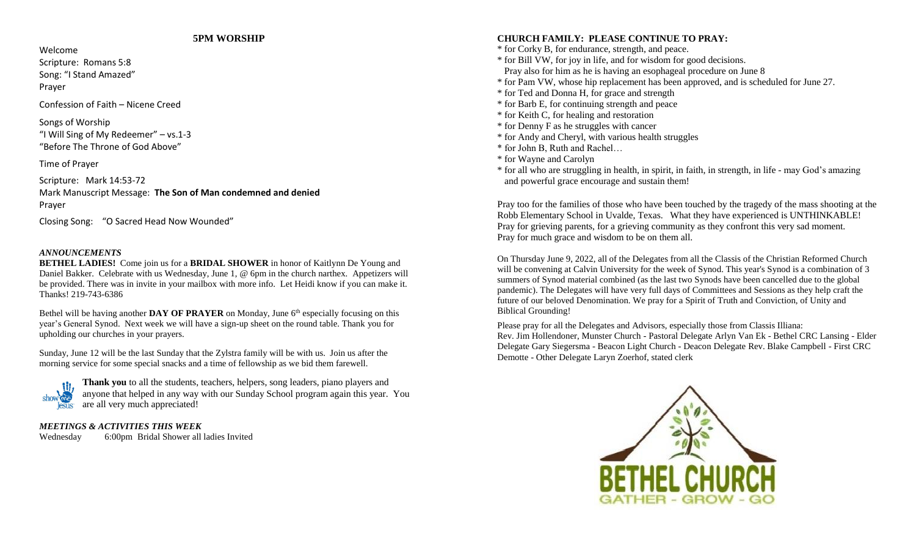# **5PM WORSHIP**

Welcome Scripture: Romans 5:8 Song: "I Stand Amazed" Prayer

Confession of Faith – Nicene Creed

Songs of Worship "I Will Sing of My Redeemer" – vs.1-3 "Before The Throne of God Above"

Time of Prayer

Scripture: Mark 14:53-72 Mark Manuscript Message: **The Son of Man condemned and denied** Prayer

Closing Song: "O Sacred Head Now Wounded"

#### *ANNOUNCEMENTS*

**BETHEL LADIES!** Come join us for a **BRIDAL SHOWER** in honor of Kaitlynn De Young and Daniel Bakker. Celebrate with us Wednesday, June 1, @ 6pm in the church narthex. Appetizers will be provided. There was in invite in your mailbox with more info. Let Heidi know if you can make it. Thanks! 219-743-6386

Bethel will be having another **DAY OF PRAYER** on Monday, June 6<sup>th</sup> especially focusing on this year's General Synod. Next week we will have a sign-up sheet on the round table. Thank you for upholding our churches in your prayers.

Sunday, June 12 will be the last Sunday that the Zylstra family will be with us. Join us after the morning service for some special snacks and a time of fellowship as we bid them farewell.



**Thank you** to all the students, teachers, helpers, song leaders, piano players and anyone that helped in any way with our Sunday School program again this year. You are all very much appreciated!

#### *MEETINGS & ACTIVITIES THIS WEEK*

Wednesday 6:00pm Bridal Shower all ladies Invited

# **CHURCH FAMILY: PLEASE CONTINUE TO PRAY:**

- \* for Corky B, for endurance, strength, and peace.
- \* for Bill VW, for joy in life, and for wisdom for good decisions.
- Pray also for him as he is having an esophageal procedure on June 8
- \* for Pam VW, whose hip replacement has been approved, and is scheduled for June 27.
- \* for Ted and Donna H, for grace and strength
- \* for Barb E, for continuing strength and peace
- \* for Keith C, for healing and restoration
- \* for Denny F as he struggles with cancer
- \* for Andy and Cheryl, with various health struggles
- \* for John B, Ruth and Rachel…
- \* for Wayne and Carolyn
- \* for all who are struggling in health, in spirit, in faith, in strength, in life may God's amazing and powerful grace encourage and sustain them!

Pray too for the families of those who have been touched by the tragedy of the mass shooting at the Robb Elementary School in Uvalde, Texas. What they have experienced is UNTHINKABLE! Pray for grieving parents, for a grieving community as they confront this very sad moment. Pray for much grace and wisdom to be on them all.

On Thursday June 9, 2022, all of the Delegates from all the Classis of the Christian Reformed Church will be convening at Calvin University for the week of Synod. This year's Synod is a combination of 3 summers of Synod material combined (as the last two Synods have been cancelled due to the global pandemic). The Delegates will have very full days of Committees and Sessions as they help craft the future of our beloved Denomination. We pray for a Spirit of Truth and Conviction, of Unity and Biblical Grounding!

Please pray for all the Delegates and Advisors, especially those from Classis Illiana: Rev. Jim Hollendoner, Munster Church - Pastoral Delegate Arlyn Van Ek - Bethel CRC Lansing - Elder Delegate Gary Siegersma - Beacon Light Church - Deacon Delegate Rev. Blake Campbell - First CRC Demotte - Other Delegate Laryn Zoerhof, stated clerk

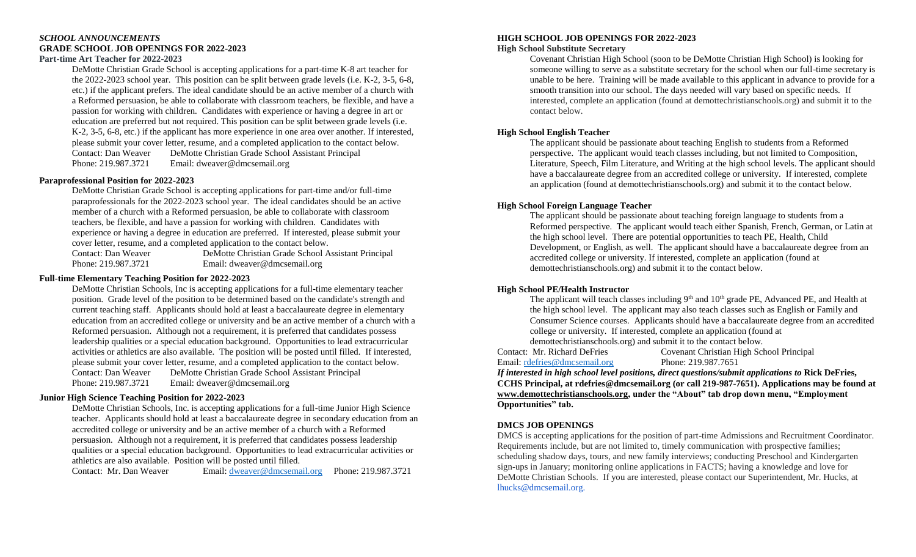#### *SCHOOL ANNOUNCEMENTS* **GRADE SCHOOL JOB OPENINGS FOR 2022-2023 Part-time Art Teacher for 2022-2023**

DeMotte Christian Grade School is accepting applications for a part-time K-8 art teacher for the 2022-2023 school year. This position can be split between grade levels (i.e. K-2, 3-5, 6-8, etc.) if the applicant prefers. The ideal candidate should be an active member of a church with a Reformed persuasion, be able to collaborate with classroom teachers, be flexible, and have a passion for working with children. Candidates with experience or having a degree in art or education are preferred but not required. This position can be split between grade levels (i.e. K-2, 3-5, 6-8, etc.) if the applicant has more experience in one area over another. If interested, please submit your cover letter, resume, and a completed application to the contact below. Contact: Dan Weaver DeMotte Christian Grade School Assistant Principal Phone: 219.987.3721 Email: dweaver@dmcsemail.org

#### **Paraprofessional Position for 2022-2023**

DeMotte Christian Grade School is accepting applications for part-time and/or full-time paraprofessionals for the 2022-2023 school year. The ideal candidates should be an active member of a church with a Reformed persuasion, be able to collaborate with classroom teachers, be flexible, and have a passion for working with children. Candidates with experience or having a degree in education are preferred. If interested, please submit your cover letter, resume, and a completed application to the contact below.

Contact: Dan Weaver DeMotte Christian Grade School Assistant Principal Phone: 219.987.3721 Email: dweaver@dmcsemail.org

#### **Full-time Elementary Teaching Position for 2022-2023**

DeMotte Christian Schools, Inc is accepting applications for a full-time elementary teacher position. Grade level of the position to be determined based on the candidate's strength and current teaching staff. Applicants should hold at least a baccalaureate degree in elementary education from an accredited college or university and be an active member of a church with a Reformed persuasion. Although not a requirement, it is preferred that candidates possess leadership qualities or a special education background. Opportunities to lead extracurricular activities or athletics are also available. The position will be posted until filled. If interested, please submit your cover letter, resume, and a completed application to the contact below. Contact: Dan Weaver DeMotte Christian Grade School Assistant Principal Phone: 219.987.3721 Email: dweaver@dmcsemail.org

#### **Junior High Science Teaching Position for 2022-2023**

DeMotte Christian Schools, Inc. is accepting applications for a full-time Junior High Science teacher. Applicants should hold at least a baccalaureate degree in secondary education from an accredited college or university and be an active member of a church with a Reformed persuasion. Although not a requirement, it is preferred that candidates possess leadership qualities or a special education background. Opportunities to lead extracurricular activities or athletics are also available. Position will be posted until filled.

Contact: Mr. Dan Weaver Email: [dweaver@dmcsemail.org](mailto:dweaver@dmcsemail.org) Phone: 219.987.3721

### **HIGH SCHOOL JOB OPENINGS FOR 2022-2023**

#### **High School Substitute Secretary**

Covenant Christian High School (soon to be DeMotte Christian High School) is looking for someone willing to serve as a substitute secretary for the school when our full-time secretary is unable to be here. Training will be made available to this applicant in advance to provide for a smooth transition into our school. The days needed will vary based on specific needs. If interested, complete an application (found at demottechristianschools.org) and submit it to the contact below.

#### **High School English Teacher**

The applicant should be passionate about teaching English to students from a Reformed perspective. The applicant would teach classes including, but not limited to Composition, Literature, Speech, Film Literature, and Writing at the high school levels. The applicant should have a baccalaureate degree from an accredited college or university. If interested, complete an application (found at demottechristianschools.org) and submit it to the contact below.

#### **High School Foreign Language Teacher**

The applicant should be passionate about teaching foreign language to students from a Reformed perspective. The applicant would teach either Spanish, French, German, or Latin at the high school level. There are potential opportunities to teach PE, Health, Child Development, or English, as well. The applicant should have a baccalaureate degree from an accredited college or university. If interested, complete an application (found at demottechristianschools.org) and submit it to the contact below.

#### **High School PE/Health Instructor**

The applicant will teach classes including 9<sup>th</sup> and 10<sup>th</sup> grade PE, Advanced PE, and Health at the high school level. The applicant may also teach classes such as English or Family and Consumer Science courses. Applicants should have a baccalaureate degree from an accredited college or university. If interested, complete an application (found at demottechristianschools.org) and submit it to the contact below.

Email: [rdefries@dmcsemail.org](mailto:rdefries@dmcsemail.org) Phone: 219.987.7651

Contact: Mr. Richard DeFries Covenant Christian High School Principal

*If interested in high school level positions, direct questions/submit applications to* **Rick DeFries, CCHS Principal, at rdefries@dmcsemail.org (or call 219-987-7651). Applications may be found at [www.demottechristianschools.org,](http://www.demottechristianschools.org/) under the "About" tab drop down menu, "Employment Opportunities" tab.**

#### **DMCS JOB OPENINGS**

DMCS is accepting applications for the position of part-time Admissions and Recruitment Coordinator. Requirements include, but are not limited to, timely communication with prospective families; scheduling shadow days, tours, and new family interviews; conducting Preschool and Kindergarten sign-ups in January; monitoring online applications in FACTS; having a knowledge and love for DeMotte Christian Schools. If you are interested, please contact our Superintendent, Mr. Hucks, at lhucks@dmcsemail.org.